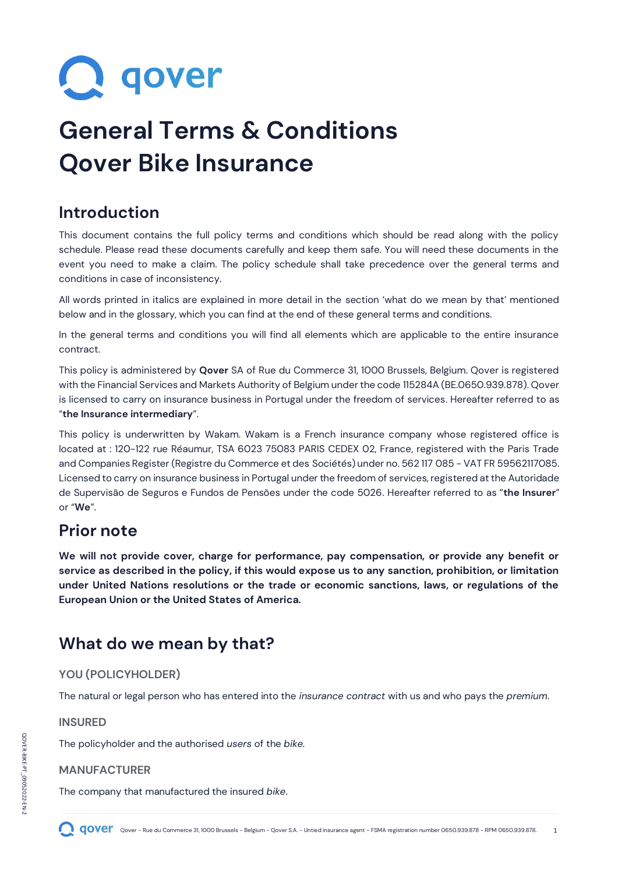**Q** qover

# **General Terms & Conditions Qover Bike Insurance**

# **Introduction**

This document contains the full policy terms and conditions which should be read along with the policy schedule. Please read these documents carefully and keep them safe. You will need these documents in the event you need to make a claim. The policy schedule shall take precedence over the general terms and conditions in case of inconsistency.

All words printed in italics are explained in more detail in the section 'what do we mean by that' mentioned below and in the glossary, which you can find at the end of these general terms and conditions.

In the general terms and conditions you will find all elements which are applicable to the entire insurance contract.

This policy is administered by **Qover** SA of Rue du Commerce 31, 1000 Brussels, Belgium. Qover is registered with the Financial Services and Markets Authority of Belgium under the code 115284A (BE.0650.939.878). Qover is licensed to carry on insurance business in Portugal under the freedom of services. Hereafter referred to as "**the Insurance intermediary**".

This policy is underwritten by Wakam. Wakam is a French insurance company whose registered office is located at : 120-122 rue Réaumur, TSA 6023 75083 PARIS CEDEX 02, France, registered with the Paris Trade and Companies Register (Registre du Commerce et des Sociétés) under no. 562 117 085 - VAT FR 59562117085. Licensed to carry on insurance business in Portugal under the freedom of services, registered at the Autoridade de Supervisão de Seguros e Fundos de Pensões under the code 5026. Hereafter referred to as "**the Insurer**" or "**We**".

# **Prior note**

**We will not provide cover, charge for performance, pay compensation, or provide any benefit or service as described in the policy, if this would expose us to any sanction, prohibition, or limitation under United Nations resolutions or the trade or economic sanctions, laws, or regulations of the European Union or the United States of America.**

# **What do we mean by that?**

# **YOU (POLICYHOLDER)**

The natural or legal person who has entered into the *insurance contract* with us and who pays the *premium*.

### **INSURED**

The policyholder and the authorised *users* of the *bike.*

# **MANUFACTURER**

The company that manufactured the insured *bike*.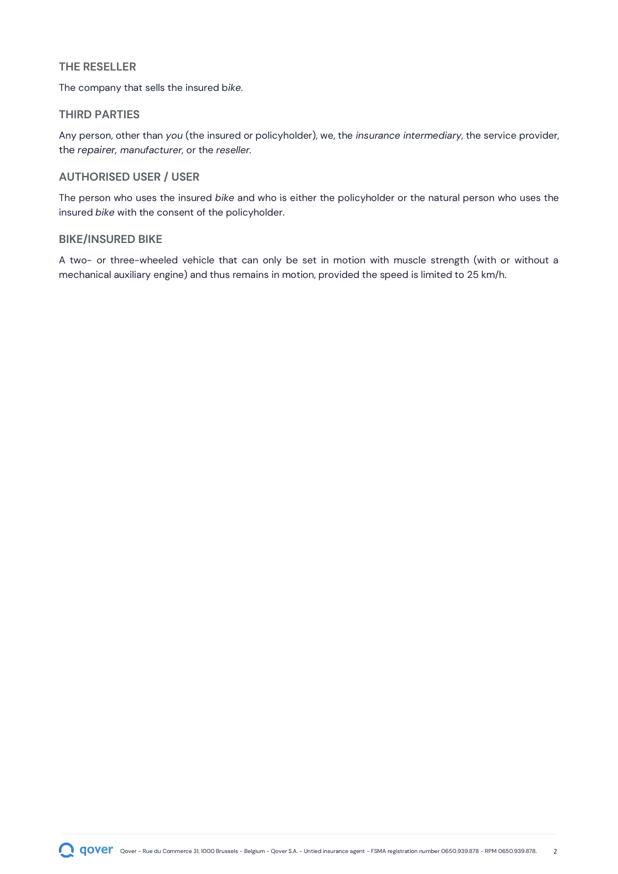#### **THE RESELLER**

The company that sells the insured b*ike*.

#### **THIRD PARTIES**

Any person, other than *you* (the insured or policyholder), we, the *insurance intermediary*, the service provider, the *repairer, manufacturer,* or the *reseller.*

### **AUTHORISED USER / USER**

The person who uses the insured *bike* and who is either the policyholder or the natural person who uses the insured *bike* with the consent of the policyholder.

#### **BIKE/INSURED BIKE**

A two- or three-wheeled vehicle that can only be set in motion with muscle strength (with or without a mechanical auxiliary engine) and thus remains in motion, provided the speed is limited to 25 km/h.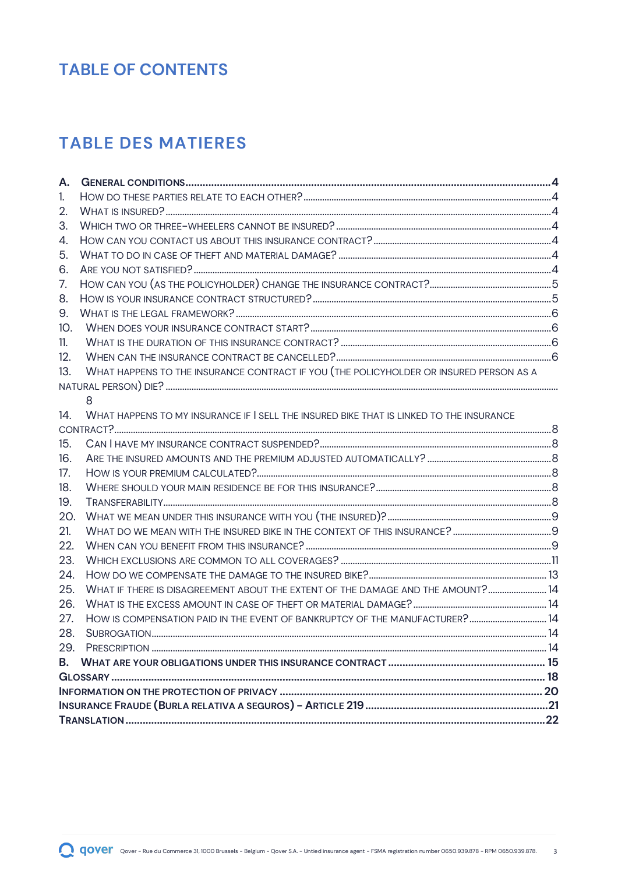# **TABLE OF CONTENTS**

# **TABLE DES MATIERES**

| Α.                                                                                             |  |
|------------------------------------------------------------------------------------------------|--|
| 1.                                                                                             |  |
| 2.                                                                                             |  |
| 3.                                                                                             |  |
| 4.                                                                                             |  |
| 5.                                                                                             |  |
| 6.                                                                                             |  |
| 7.                                                                                             |  |
| 8.                                                                                             |  |
| 9.                                                                                             |  |
| 10.                                                                                            |  |
| 11.                                                                                            |  |
| 12.                                                                                            |  |
| WHAT HAPPENS TO THE INSURANCE CONTRACT IF YOU (THE POLICYHOLDER OR INSURED PERSON AS A<br>13.  |  |
|                                                                                                |  |
| 8                                                                                              |  |
| WHAT HAPPENS TO MY INSURANCE IF I SELL THE INSURED BIKE THAT IS LINKED TO THE INSURANCE<br>14. |  |
|                                                                                                |  |
| 15.                                                                                            |  |
| 16.                                                                                            |  |
| 17.                                                                                            |  |
| 18.                                                                                            |  |
| 19.                                                                                            |  |
| 20.                                                                                            |  |
| 21.                                                                                            |  |
| 22.                                                                                            |  |
| 23.                                                                                            |  |
| 24.                                                                                            |  |
| WHAT IF THERE IS DISAGREEMENT ABOUT THE EXTENT OF THE DAMAGE AND THE AMOUNT? 14<br>25.         |  |
| 26.                                                                                            |  |
| HOW IS COMPENSATION PAID IN THE EVENT OF BANKRUPTCY OF THE MANUFACTURER? 14<br>27.             |  |
| 28.                                                                                            |  |
| 29.                                                                                            |  |
| <b>B.</b>                                                                                      |  |
|                                                                                                |  |
|                                                                                                |  |
|                                                                                                |  |
|                                                                                                |  |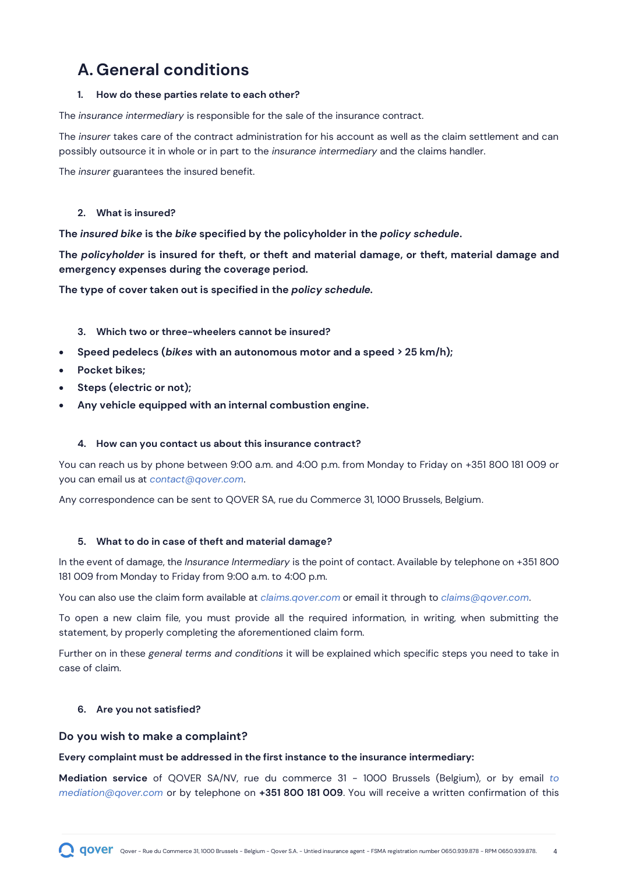# <span id="page-3-0"></span>**A. General conditions**

#### <span id="page-3-1"></span>**1. How do these parties relate to each other?**

The *insurance intermediary* is responsible for the sale of the insurance contract.

The *insurer* takes care of the contract administration for his account as well as the claim settlement and can possibly outsource it in whole or in part to the *insurance intermediary* and the claims handler.

The *insurer* guarantees the insured benefit.

#### <span id="page-3-2"></span>**2. What is insured?**

**The** *insured bike* **is the** *bike* **specified by the policyholder in the** *policy schedule***.**

**The** *policyholder* **is insured for theft, or theft and material damage, or theft, material damage and emergency expenses during the coverage period.**

**The type of cover taken out is specified in the** *policy schedule.*

- <span id="page-3-3"></span>**3. Which two or three-wheelers cannot be insured?**
- **Speed pedelecs (***bikes* **with an autonomous motor and a speed > 25 km/h);**
- **Pocket bikes;**
- **Steps (electric or not);**
- **Any vehicle equipped with an internal combustion engine.**

#### <span id="page-3-4"></span>**4. How can you contact us about this insurance contract?**

You can reach us by phone between 9:00 a.m. and 4:00 p.m. from Monday to Friday on +351 800 181 009 or you can email us at *[contact@qover.com](mailto:contact@qoverme.com)*.

Any correspondence can be sent to QOVER SA, rue du Commerce 31, 1000 Brussels, Belgium.

#### <span id="page-3-5"></span>**5. What to do in case of theft and material damage?**

In the event of damage, the *Insurance Intermediary* is the point of contact. Available by telephone on +351 800 181 009 from Monday to Friday from 9:00 a.m. to 4:00 p.m.

You can also use the claim form available at *[claims.qover.com](http://www.claim.qover.com/)* or email it through to *[claims@qover.com](mailto:claims@qover.com)*.

To open a new claim file, you must provide all the required information, in writing, when submitting the statement, by properly completing the aforementioned claim form.

Further on in these *general terms and conditions* it will be explained which specific steps you need to take in case of claim.

#### <span id="page-3-6"></span>**6. Are you not satisfied?**

#### **Do you wish to make a complaint?**

#### **Every complaint must be addressed in the first instance to the insurance intermediary:**

**Mediation service** of QOVER SA/NV, rue du commerce 31 - 1000 Brussels (Belgium), or by email *[to](mailto:mediation@qover.com) mediation@qover.com* or by telephone on **+351 800 181 009**. You will receive a written confirmation of this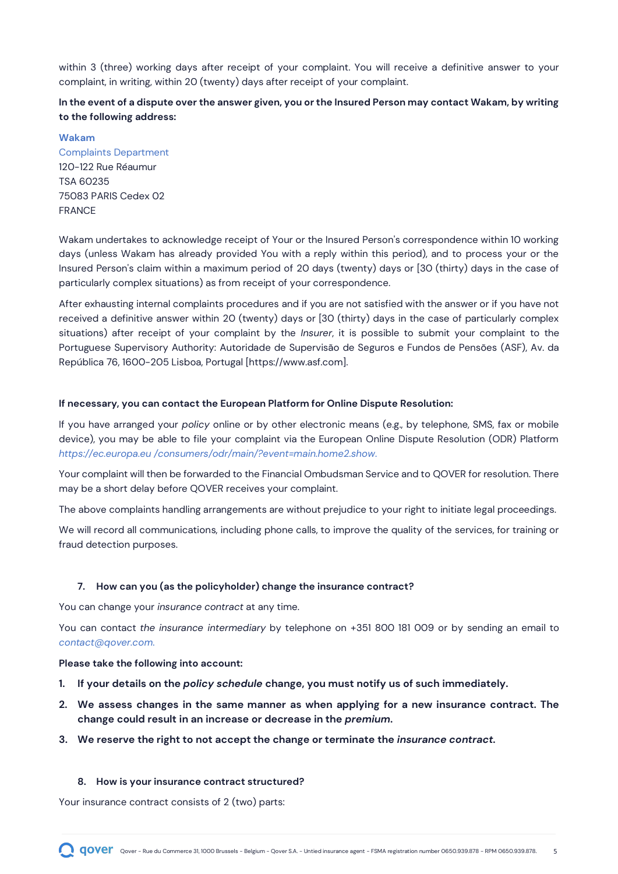within 3 (three) working days after receipt of your complaint. You will receive a definitive answer to your complaint, in writing, within 20 (twenty) days after receipt of your complaint.

### **In the event of a dispute over the answer given, you or the Insured Person may contact Wakam, by writing to the following address:**

**Wakam**

Complaints Department 120-122 Rue Réaumur TSA 60235 75083 PARIS Cedex 02 FRANCE

Wakam undertakes to acknowledge receipt of Your or the Insured Person's correspondence within 10 working days (unless Wakam has already provided You with a reply within this period), and to process your or the Insured Person's claim within a maximum period of 20 days (twenty) days or [30 (thirty) days in the case of particularly complex situations) as from receipt of your correspondence.

After exhausting internal complaints procedures and if you are not satisfied with the answer or if you have not received a definitive answer within 20 (twenty) days or [30 (thirty) days in the case of particularly complex situations) after receipt of your complaint by the *Insurer*, it is possible to submit your complaint to the Portuguese Supervisory Authority: Autoridade de Supervisão de Seguros e Fundos de Pensões (ASF), Av. da República 76, 1600-205 Lisboa, Portugal [https://www.asf.com].

#### **If necessary, you can contact the European Platform for Online Dispute Resolution:**

If you have arranged your *policy* online or by other electronic means (e.g., by telephone, SMS, fax or mobile device), you may be able to file your complaint via the European Online Dispute Resolution (ODR) Platform *[https://ec.europa.eu /consumers/odr/main/?event=main.home2.show.](https://ec.europa.eu/consumers/odr/main/?event=main.home2.show)*

Your complaint will then be forwarded to the Financial Ombudsman Service and to QOVER for resolution. There may be a short delay before QOVER receives your complaint.

The above complaints handling arrangements are without prejudice to your right to initiate legal proceedings.

We will record all communications, including phone calls, to improve the quality of the services, for training or fraud detection purposes.

#### <span id="page-4-0"></span>**7. How can you (as the policyholder) change the insurance contract?**

You can change your *insurance contract* at any time.

You can contact *the insurance intermediary* by telephone on +351 800 181 009 or by [sending an email to](mailto:contact@qoverme.com) *contact@qover.com.*

#### **Please take the following into account:**

- **1. If your details on the** *policy schedule* **change, you must notify us of such immediately.**
- **2. We assess changes in the same manner as when applying for a new insurance contract. The change could result in an increase or decrease in the** *premium***.**

#### **3. We reserve the right to not accept the change or terminate the** *insurance contract.*

#### <span id="page-4-1"></span>**8. How is your insurance contract structured?**

Your insurance contract consists of 2 (two) parts: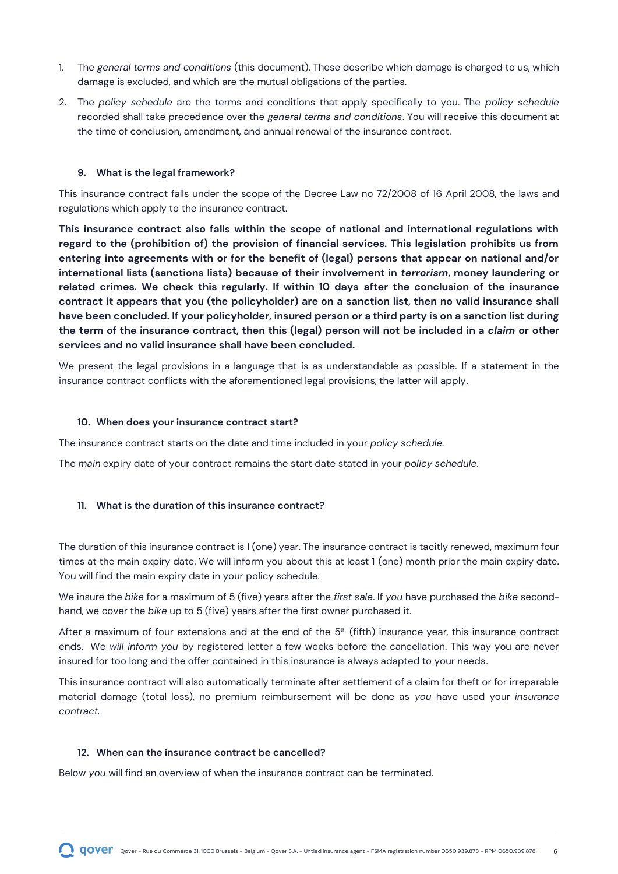- 1. The *general terms and conditions* (this document). These describe which damage is charged to us, which damage is excluded, and which are the mutual obligations of the parties.
- 2. The *policy schedule* are the terms and conditions that apply specifically to you. The *policy schedule* recorded shall take precedence over the *general terms and conditions*. You will receive this document at the time of conclusion, amendment, and annual renewal of the insurance contract.

#### <span id="page-5-0"></span>**9. What is the legal framework?**

This insurance contract falls under the scope of the Decree Law no 72/2008 of 16 April 2008, the laws and regulations which apply to the insurance contract.

**This insurance contract also falls within the scope of national and international regulations with regard to the (prohibition of) the provision of financial services. This legislation prohibits us from entering into agreements with or for the benefit of (legal) persons that appear on national and/or international lists (sanctions lists) because of their involvement in** *terrorism***, money laundering or related crimes. We check this regularly. If within 10 days after the conclusion of the insurance contract it appears that you (the policyholder) are on a sanction list, then no valid insurance shall have been concluded. If your policyholder, insured person or a third party is on a sanction list during the term of the insurance contract, then this (legal) person will not be included in a** *claim* **or other services and no valid insurance shall have been concluded.**

We present the legal provisions in a language that is as understandable as possible. If a statement in the insurance contract conflicts with the aforementioned legal provisions, the latter will apply.

#### <span id="page-5-1"></span>**10. When does your insurance contract start?**

The insurance contract starts on the date and time included in your *policy schedule.*

The *main* expiry date of your contract remains the start date stated in your *policy schedule*.

#### <span id="page-5-2"></span>**11. What is the duration of this insurance contract?**

The duration of this insurance contract is 1 (one) year. The insurance contract is tacitly renewed, maximum four times at the main expiry date. We will inform you about this at least 1 (one) month prior the main expiry date. You will find the main expiry date in your policy schedule.

We insure the *bike* for a maximum of 5 (five) years after the *first sale*. If *you* have purchased the *bike* secondhand, we cover the *bike* up to 5 (five) years after the first owner purchased it.

After a maximum of four extensions and at the end of the  $5<sup>th</sup>$  (fifth) insurance year, this insurance contract ends. We *will inform you* by registered letter a few weeks before the cancellation. This way you are never insured for too long and the offer contained in this insurance is always adapted to your needs.

This insurance contract will also automatically terminate after settlement of a claim for theft or for irreparable material damage (total loss), no premium reimbursement will be done as *you* have used your *insurance contract.*

#### <span id="page-5-3"></span>**12. When can the insurance contract be cancelled?**

Below *you* will find an overview of when the insurance contract can be terminated.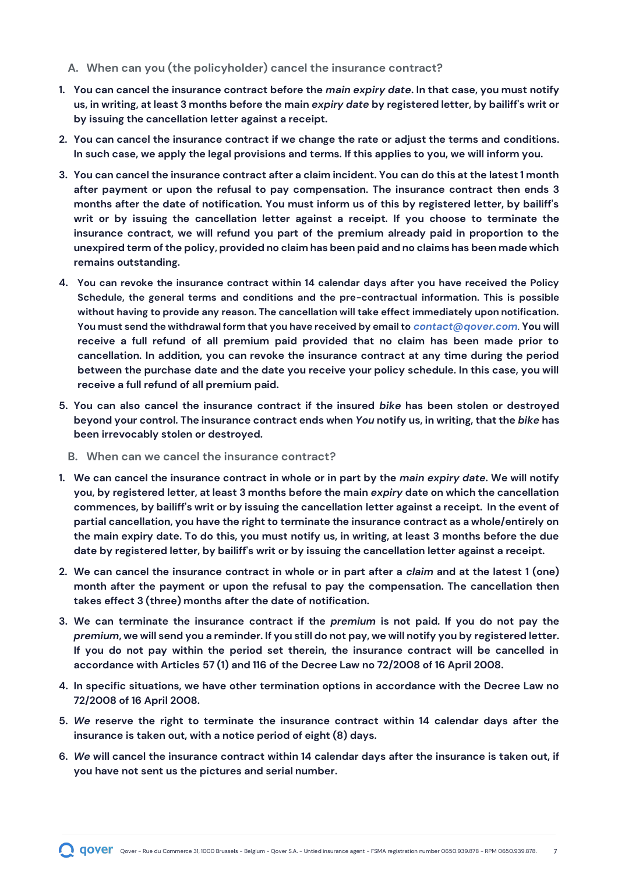#### **A. When can you (the policyholder) cancel the insurance contract?**

- **1. You can cancel the insurance contract before the** *main expiry date***. In that case, you must notify us, in writing, at least 3 months before the main** *expiry date* **by registered letter, by bailiff's writ or by issuing the cancellation letter against a receipt.**
- **2. You can cancel the insurance contract if we change the rate or adjust the terms and conditions. In such case, we apply the legal provisions and terms. If this applies to you, we will inform you.**
- **3. You can cancel the insurance contract after a claim incident. You can do this at the latest 1 month after payment or upon the refusal to pay compensation. The insurance contract then ends 3 months after the date of notification. You must inform us of this by registered letter, by bailiff's writ or by issuing the cancellation letter against a receipt. If you choose to terminate the insurance contract, we will refund you part of the premium already paid in proportion to the unexpired term of the policy, provided no claim has been paid and no claims has been made which remains outstanding.**
- **4. You can revoke the insurance contract within 14 calendar days after you have received the Policy Schedule, the general terms and conditions and the pre-contractual information. This is possible without having to provide any reason. The cancellation will take effect immediately upon notification. You must send the withdrawal form that you have received by email to** *[contact@qover.com](mailto:contact@qover.com)*. **You will receive a full refund of all premium paid provided that no claim has been made prior to cancellation. In addition, you can revoke the insurance contract at any time during the period between the purchase date and the date you receive your policy schedule. In this case, you will receive a full refund of all premium paid.**
- **5. You can also cancel the insurance contract if the insured** *bike* **has been stolen or destroyed beyond your control. The insurance contract ends when** *You* **notify us, in writing, that the** *bike* **has been irrevocably stolen or destroyed.** 
	- **B. When can we cancel the insurance contract?**
- **1. We can cancel the insurance contract in whole or in part by the** *main expiry date***. We will notify you, by registered letter, at least 3 months before the main** *expiry* **date on which the cancellation commences, by bailiff's writ or by issuing the cancellation letter against a receipt. In the event of partial cancellation, you have the right to terminate the insurance contract as a whole/entirely on the main expiry date. To do this, you must notify us, in writing, at least 3 months before the due date by registered letter, by bailiff's writ or by issuing the cancellation letter against a receipt.**
- **2. We can cancel the insurance contract in whole or in part after a** *claim* **and at the latest 1 (one) month after the payment or upon the refusal to pay the compensation. The cancellation then takes effect 3 (three) months after the date of notification.**
- **3. We can terminate the insurance contract if the** *premium* **is not paid. If you do not pay the**  *premium***, we will send you a reminder. If you still do not pay, we will notify you by registered letter. If you do not pay within the period set therein, the insurance contract will be cancelled in accordance with Articles 57 (1) and 116 of the Decree Law no 72/2008 of 16 April 2008.**
- **4. In specific situations, we have other termination options in accordance with the Decree Law no 72/2008 of 16 April 2008.**
- **5.** *We* **reserve the right to terminate the insurance contract within 14 calendar days after the insurance is taken out, with a notice period of eight (8) days.**
- **6.** *We* **will cancel the insurance contract within 14 calendar days after the insurance is taken out, if you have not sent us the pictures and serial number.**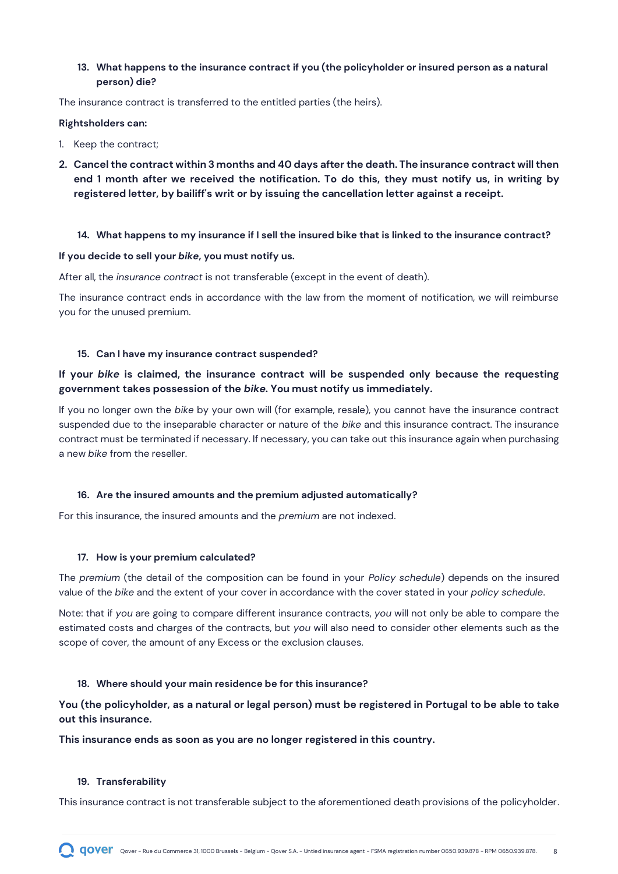#### <span id="page-7-0"></span>**13. What happens to the insurance contract if you (the policyholder or insured person as a natural person) die?**

The insurance contract is transferred to the entitled parties (the heirs).

#### **Rightsholders can:**

- 1. Keep the contract;
- **2. Cancel the contract within 3 months and 40 days after the death. The insurance contract will then end 1 month after we received the notification. To do this, they must notify us, in writing by registered letter, by bailiff's writ or by issuing the cancellation letter against a receipt.**

#### <span id="page-7-1"></span>**14. What happens to my insurance if I sell the insured bike that is linked to the insurance contract?**

#### **If you decide to sell your** *bike***, you must notify us.**

After all, the *insurance contract* is not transferable (except in the event of death).

The insurance contract ends in accordance with the law from the moment of notification, we will reimburse you for the unused premium.

#### <span id="page-7-2"></span>**15. Can I have my insurance contract suspended?**

#### **If your** *bike* **is claimed, the insurance contract will be suspended only because the requesting government takes possession of the** *bike***. You must notify us immediately.**

If you no longer own the *bike* by your own will (for example, resale), you cannot have the insurance contract suspended due to the inseparable character or nature of the *bike* and this insurance contract. The insurance contract must be terminated if necessary. If necessary, you can take out this insurance again when purchasing a new *bike* from the reseller.

#### <span id="page-7-3"></span>**16. Are the insured amounts and the premium adjusted automatically?**

For this insurance, the insured amounts and the *premium* are not indexed.

#### <span id="page-7-4"></span>**17. How is your premium calculated?**

The *premium* (the detail of the composition can be found in your *Policy schedule*) depends on the insured value of the *bike* and the extent of your cover in accordance with the cover stated in your *policy schedule*.

Note: that if *you* are going to compare different insurance contracts, *you* will not only be able to compare the estimated costs and charges of the contracts, but *you* will also need to consider other elements such as the scope of cover, the amount of any Excess or the exclusion clauses.

#### <span id="page-7-5"></span>**18. Where should your main residence be for this insurance?**

**You (the policyholder, as a natural or legal person) must be registered in Portugal to be able to take out this insurance.**

#### **This insurance ends as soon as you are no longer registered in this country.**

#### <span id="page-7-6"></span>**19. Transferability**

This insurance contract is not transferable subject to the aforementioned death provisions of the policyholder.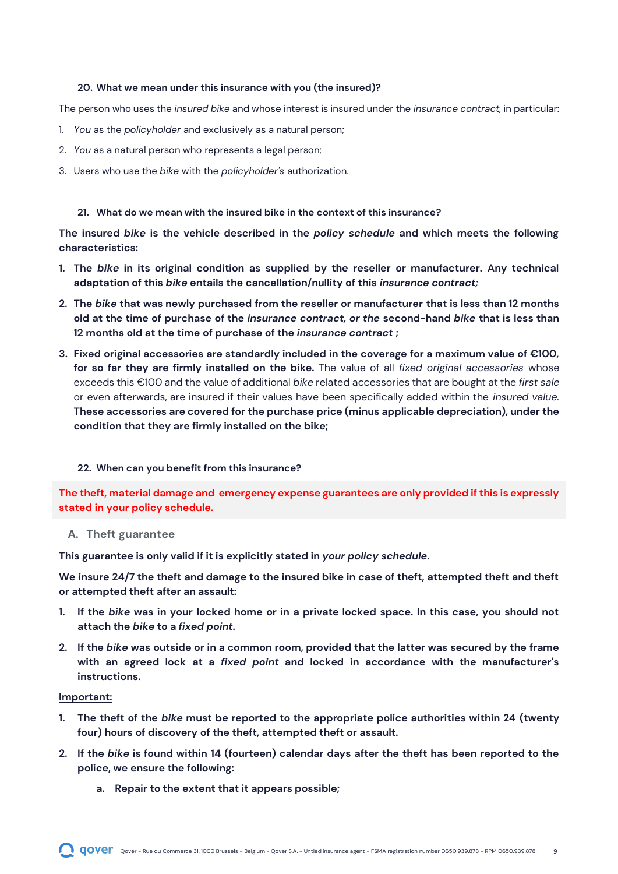#### <span id="page-8-0"></span>**20. What we mean under this insurance with you (the insured)?**

The person who uses the *insured bike* and whose interest is insured under the *insurance contract*, in particular:

- 1. *You* as the *policyholder* and exclusively as a natural person;
- 2. *You* as a natural person who represents a legal person;
- 3. Users who use the *bike* with the *policyholder's* authorization.

#### <span id="page-8-1"></span>**21. What do we mean with the insured bike in the context of this insurance?**

**The insured** *bike* **is the vehicle described in the** *policy schedule* **and which meets the following characteristics:**

- **1. The** *bike* **in its original condition as supplied by the reseller or manufacturer. Any technical adaptation of this** *bike* **entails the cancellation/nullity of this** *insurance contract;*
- **2. The** *bike* **that was newly purchased from the reseller or manufacturer that is less than 12 months old at the time of purchase of the** *insurance contract, or the* **second-hand** *bike* **that is less than 12 months old at the time of purchase of the** *insurance contract* **;**
- **3. Fixed original accessories are standardly included in the coverage for a maximum value of €100, for so far they are firmly installed on the bike.** The value of all *fixed original accessories* whose exceeds this €100 and the value of additional *bike* related accessories that are bought at the *first sale* or even afterwards, are insured if their values have been specifically added within the *insured value.* **These accessories are covered for the purchase price (minus applicable depreciation), under the condition that they are firmly installed on the bike;**

#### <span id="page-8-2"></span>**22. When can you benefit from this insurance?**

**The theft, material damage and emergency expense guarantees are only provided if this is expressly stated in your policy schedule.**

#### **A. Theft guarantee**

**This guarantee is only valid if it is explicitly stated in** *your policy schedule***.**

**We insure 24/7 the theft and damage to the insured bike in case of theft, attempted theft and theft or attempted theft after an assault:**

- **1. If the** *bike* **was in your locked home or in a private locked space. In this case, you should not attach the** *bike* **to a** *fixed point***.**
- **2. If the** *bike* **was outside or in a common room, provided that the latter was secured by the frame with an agreed lock at a** *fixed point* **and locked in accordance with the manufacturer's instructions.**

#### **Important:**

- **1. The theft of the** *bike* **must be reported to the appropriate police authorities within 24 (twenty four) hours of discovery of the theft, attempted theft or assault.**
- **2. If the** *bike* **is found within 14 (fourteen) calendar days after the theft has been reported to the police, we ensure the following:**
	- **a. Repair to the extent that it appears possible;**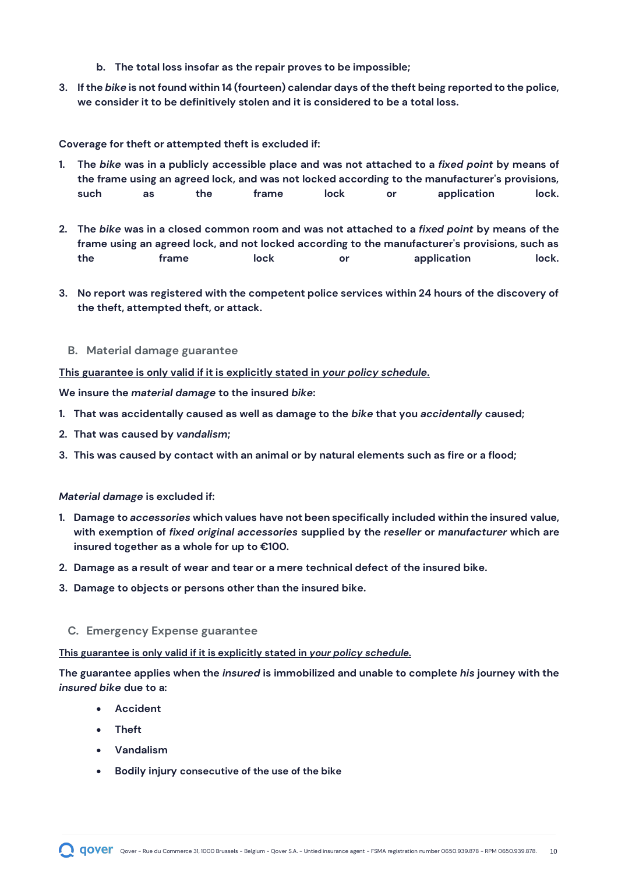- **b. The total loss insofar as the repair proves to be impossible;**
- **3. If the** *bike* **is not found within 14 (fourteen) calendar days of the theft being reported to the police, we consider it to be definitively stolen and it is considered to be a total loss.**

**Coverage for theft or attempted theft is excluded if:**

- **1. The** *bike* **was in a publicly accessible place and was not attached to a** *fixed point* **by means of the frame using an agreed lock, and was not locked according to the manufacturer's provisions, such as the frame lock or application lock.**
- **2. The** *bike* **was in a closed common room and was not attached to a** *fixed point* **by means of the frame using an agreed lock, and not locked according to the manufacturer's provisions, such as the frame lock or application lock.**
- **3. No report was registered with the competent police services within 24 hours of the discovery of the theft, attempted theft, or attack.**
	- **B. Material damage guarantee**

**This guarantee is only valid if it is explicitly stated in** *your policy schedule***.**

**We insure the** *material damage* **to the insured** *bike***:**

- **1. That was accidentally caused as well as damage to the** *bike* **that you** *accidentally* **caused;**
- **2. That was caused by** *vandalism***;**
- **3. This was caused by contact with an animal or by natural elements such as fire or a flood;**

#### *Material damage* **is excluded if:**

- **1. Damage to** *accessories* **which values have not been specifically included within the insured value, with exemption of** *fixed original accessories* **supplied by the** *reseller* **or** *manufacturer* **which are insured together as a whole for up to €100.**
- **2. Damage as a result of wear and tear or a mere technical defect of the insured bike.**
- **3. Damage to objects or persons other than the insured bike.**
	- **C. Emergency Expense guarantee**

**This guarantee is only valid if it is explicitly stated in** *your policy schedule.*

**The guarantee applies when the** *insured* **is immobilized and unable to complete** *his* **journey with the**  *insured bike* **due to a:** 

- **Accident**
- **Theft**
- **Vandalism**
- **Bodily injury consecutive of the use of the bike**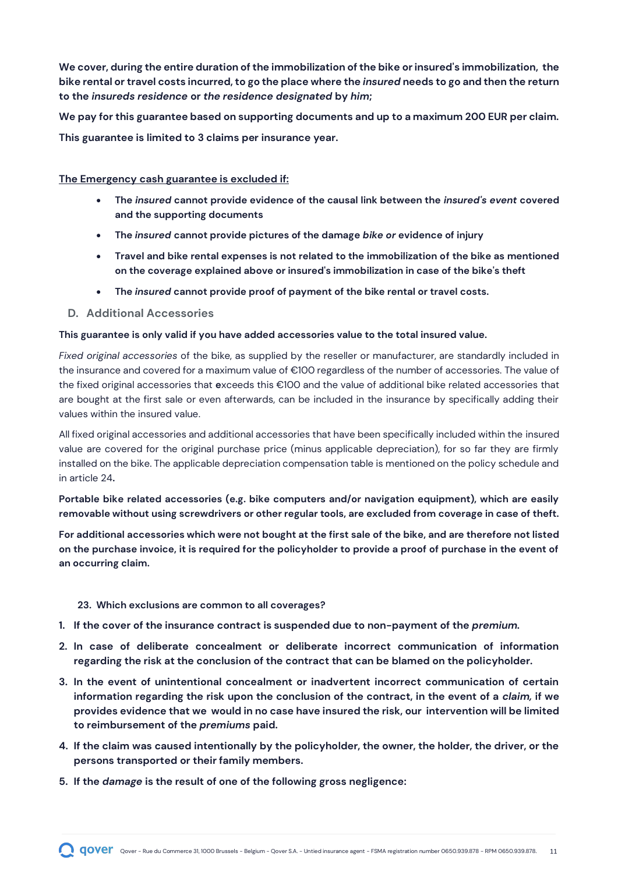**We cover, during the entire duration of the immobilization of the bike or insured's immobilization, the bike rental or travel costs incurred, to go the place where the** *insured* **needs to go and then the return to the** *insureds residence* **or** *the residence designated* **by** *him***;**

**We pay for this guarantee based on supporting documents and up to a maximum 200 EUR per claim. This guarantee is limited to 3 claims per insurance year.**

#### **The Emergency cash guarantee is excluded if:**

- **The** *insured* **cannot provide evidence of the causal link between the** *insured's event* **covered and the supporting documents**
- **The** *insured* **cannot provide pictures of the damage** *bike or* **evidence of injury**
- **Travel and bike rental expenses is not related to the immobilization of the bike as mentioned on the coverage explained above or insured's immobilization in case of the bike's theft**
- **The** *insured* **cannot provide proof of payment of the bike rental or travel costs.**
- **D. Additional Accessories**

#### **This guarantee is only valid if you have added accessories value to the total insured value.**

*Fixed original accessories* of the bike, as supplied by the reseller or manufacturer, are standardly included in the insurance and covered for a maximum value of €100 regardless of the number of accessories. The value of the fixed original accessories that **e**xceeds this €100 and the value of additional bike related accessories that are bought at the first sale or even afterwards, can be included in the insurance by specifically adding their values within the insured value.

All fixed original accessories and additional accessories that have been specifically included within the insured value are covered for the original purchase price (minus applicable depreciation), for so far they are firmly installed on the bike. The applicable depreciation compensation table is mentioned on the policy schedule and in article 24**.** 

**Portable bike related accessories (e.g. bike computers and/or navigation equipment), which are easily removable without using screwdrivers or other regular tools, are excluded from coverage in case of theft.** 

**For additional accessories which were not bought at the first sale of the bike, and are therefore not listed on the purchase invoice, it is required for the policyholder to provide a proof of purchase in the event of an occurring claim.** 

#### <span id="page-10-0"></span>**23. Which exclusions are common to all coverages?**

- **1. If the cover of the insurance contract is suspended due to non-payment of the** *premium.*
- **2. In case of deliberate concealment or deliberate incorrect communication of information regarding the risk at the conclusion of the contract that can be blamed on the policyholder.**
- **3. In the event of unintentional concealment or inadvertent incorrect communication of certain information regarding the risk upon the conclusion of the contract, in the event of a** *claim,* **if we provides evidence that we would in no case have insured the risk, our intervention will be limited to reimbursement of the** *premiums* **paid.**
- **4. If the claim was caused intentionally by the policyholder, the owner, the holder, the driver, or the persons transported or their family members.**
- **5. If the** *damage* **is the result of one of the following gross negligence:**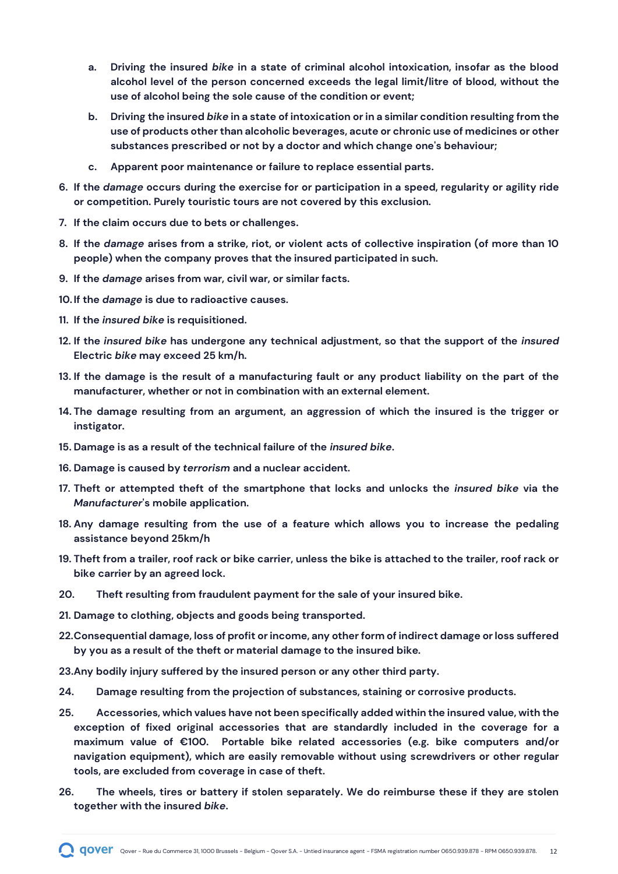- **a. Driving the insured** *bike* **in a state of criminal alcohol intoxication, insofar as the blood alcohol level of the person concerned exceeds the legal limit/litre of blood, without the use of alcohol being the sole cause of the condition or event;**
- **b. Driving the insured** *bike* **in a state of intoxication or in a similar condition resulting from the use of products other than alcoholic beverages, acute or chronic use of medicines or other substances prescribed or not by a doctor and which change one's behaviour;**
- **c. Apparent poor maintenance or failure to replace essential parts.**
- **6. If the** *damage* **occurs during the exercise for or participation in a speed, regularity or agility ride or competition. Purely touristic tours are not covered by this exclusion.**
- **7. If the claim occurs due to bets or challenges.**
- **8. If the** *damage* **arises from a strike, riot, or violent acts of collective inspiration (of more than 10 people) when the company proves that the insured participated in such.**
- **9. If the** *damage* **arises from war, civil war, or similar facts.**
- **10. If the** *damage* **is due to radioactive causes.**
- **11. If the** *insured bike* **is requisitioned.**
- **12. If the** *insured bike* **has undergone any technical adjustment, so that the support of the** *insured* **Electric** *bike* **may exceed 25 km/h.**
- **13. If the damage is the result of a manufacturing fault or any product liability on the part of the manufacturer, whether or not in combination with an external element.**
- **14. The damage resulting from an argument, an aggression of which the insured is the trigger or instigator.**
- **15. Damage is as a result of the technical failure of the** *insured bike***.**
- **16. Damage is caused by** *terrorism* **and a nuclear accident.**
- **17. Theft or attempted theft of the smartphone that locks and unlocks the** *insured bike* **via the**  *Manufacturer***'s mobile application.**
- **18. Any damage resulting from the use of a feature which allows you to increase the pedaling assistance beyond 25km/h**
- **19. Theft from a trailer, roof rack or bike carrier, unless the bike is attached to the trailer, roof rack or bike carrier by an agreed lock.**
- **20. Theft resulting from fraudulent payment for the sale of your insured bike.**
- **21. Damage to clothing, objects and goods being transported.**
- **22.Consequential damage, loss of profit or income, any other form of indirect damage or loss suffered by you as a result of the theft or material damage to the insured bike.**
- **23.Any bodily injury suffered by the insured person or any other third party.**
- **24. Damage resulting from the projection of substances, staining or corrosive products.**
- **25. Accessories, which values have not been specifically added within the insured value, with the exception of fixed original accessories that are standardly included in the coverage for a maximum value of €100. Portable bike related accessories (e.g. bike computers and/or navigation equipment), which are easily removable without using screwdrivers or other regular tools, are excluded from coverage in case of theft.**
- **26. The wheels, tires or battery if stolen separately. We do reimburse these if they are stolen together with the insured** *bike***.**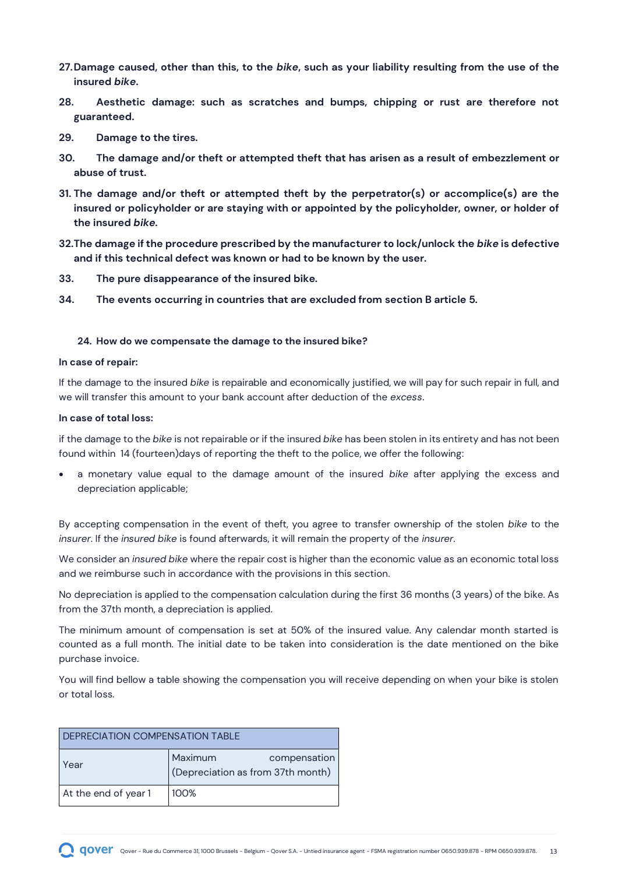- **27.Damage caused, other than this, to the** *bike***, such as your liability resulting from the use of the insured** *bike***.**
- **28. Aesthetic damage: such as scratches and bumps, chipping or rust are therefore not guaranteed.**
- **29. Damage to the tires.**
- **30. The damage and/or theft or attempted theft that has arisen as a result of embezzlement or abuse of trust.**
- **31. The damage and/or theft or attempted theft by the perpetrator(s) or accomplice(s) are the insured or policyholder or are staying with or appointed by the policyholder, owner, or holder of the insured** *bike***.**
- **32.The damage if the procedure prescribed by the manufacturer to lock/unlock the** *bike* **is defective and if this technical defect was known or had to be known by the user.**
- **33. The pure disappearance of the insured bike.**
- **34. The events occurring in countries that are excluded from section B article 5.**

#### <span id="page-12-0"></span>**24. How do we compensate the damage to the insured bike?**

#### **In case of repair:**

If the damage to the insured *bike* is repairable and economically justified, we will pay for such repair in full, and we will transfer this amount to your bank account after deduction of the *excess*.

#### **In case of total loss:**

if the damage to the *bike* is not repairable or if the insured *bike* has been stolen in its entirety and has not been found within 14 (fourteen)days of reporting the theft to the police, we offer the following:

• a monetary value equal to the damage amount of the insured *bike* after applying the excess and depreciation applicable;

By accepting compensation in the event of theft, you agree to transfer ownership of the stolen *bike* to the *insurer*. If the *insured bike* is found afterwards, it will remain the property of the *insurer*.

We consider an *insured bike* where the repair cost is higher than the economic value as an economic total loss and we reimburse such in accordance with the provisions in this section.

No depreciation is applied to the compensation calculation during the first 36 months (3 years) of the bike. As from the 37th month, a depreciation is applied.

The minimum amount of compensation is set at 50% of the insured value. Any calendar month started is counted as a full month. The initial date to be taken into consideration is the date mentioned on the bike purchase invoice.

You will find bellow a table showing the compensation you will receive depending on when your bike is stolen or total loss.

| DEPRECIATION COMPENSATION TABLE |                                                              |  |
|---------------------------------|--------------------------------------------------------------|--|
| Year                            | Maximum<br>compensation<br>(Depreciation as from 37th month) |  |
| At the end of year 1            | 100%                                                         |  |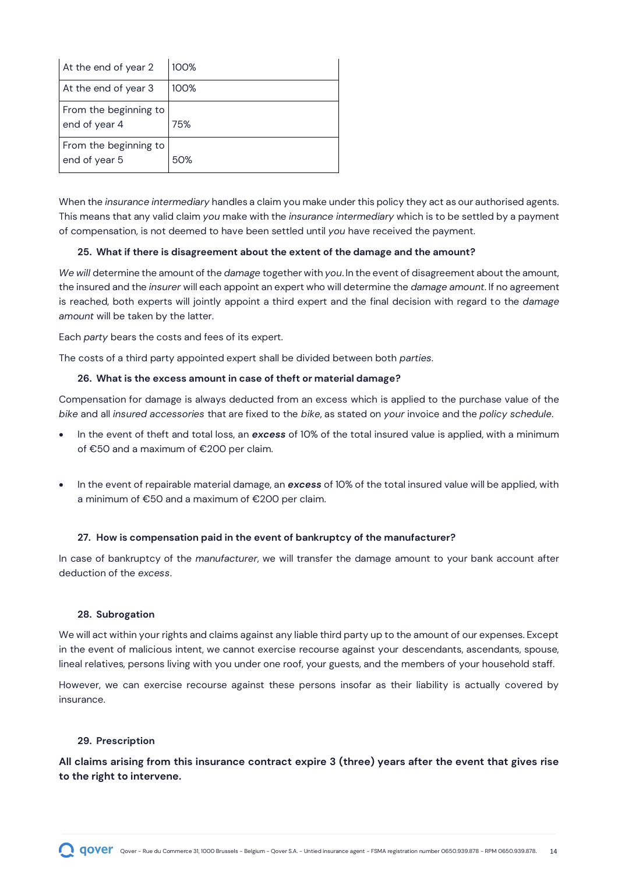| At the end of year 2                   | 100% |
|----------------------------------------|------|
| At the end of year 3                   | 100% |
| From the beginning to<br>end of year 4 | 75%  |
| From the beginning to<br>end of year 5 | 50%  |

When the *insurance intermediary* handles a claim you make under this policy they act as our authorised agents. This means that any valid claim *you* make with the *insurance intermediary* which is to be settled by a payment of compensation, is not deemed to have been settled until *you* have received the payment.

#### <span id="page-13-0"></span>**25. What if there is disagreement about the extent of the damage and the amount?**

*We will* determine the amount of the *damage* together with *you*. In the event of disagreement about the amount, the insured and the *insurer* will each appoint an expert who will determine the *damage amount*. If no agreement is reached, both experts will jointly appoint a third expert and the final decision with regard to the *damage amount* will be taken by the latter.

Each *party* bears the costs and fees of its expert.

<span id="page-13-1"></span>The costs of a third party appointed expert shall be divided between both *parties*.

#### **26. What is the excess amount in case of theft or material damage?**

Compensation for damage is always deducted from an excess which is applied to the purchase value of the *bike* and all *insured accessories* that are fixed to the *bike*, as stated on *your* invoice and the *policy schedule*.

- In the event of theft and total loss, an *excess* of 10% of the total insured value is applied, with a minimum of €50 and a maximum of €200 per claim.
- In the event of repairable material damage, an *excess* of 10% of the total insured value will be applied, with a minimum of €50 and a maximum of €200 per claim.

### <span id="page-13-2"></span>**27. How is compensation paid in the event of bankruptcy of the manufacturer?**

In case of bankruptcy of the *manufacturer*, we will transfer the damage amount to your bank account after deduction of the *excess*.

#### <span id="page-13-3"></span>**28. Subrogation**

We will act within your rights and claims against any liable third party up to the amount of our expenses. Except in the event of malicious intent, we cannot exercise recourse against your descendants, ascendants, spouse, lineal relatives, persons living with you under one roof, your guests, and the members of your household staff.

However, we can exercise recourse against these persons insofar as their liability is actually covered by insurance.

#### <span id="page-13-4"></span>**29. Prescription**

**All claims arising from this insurance contract expire 3 (three) years after the event that gives rise to the right to intervene.**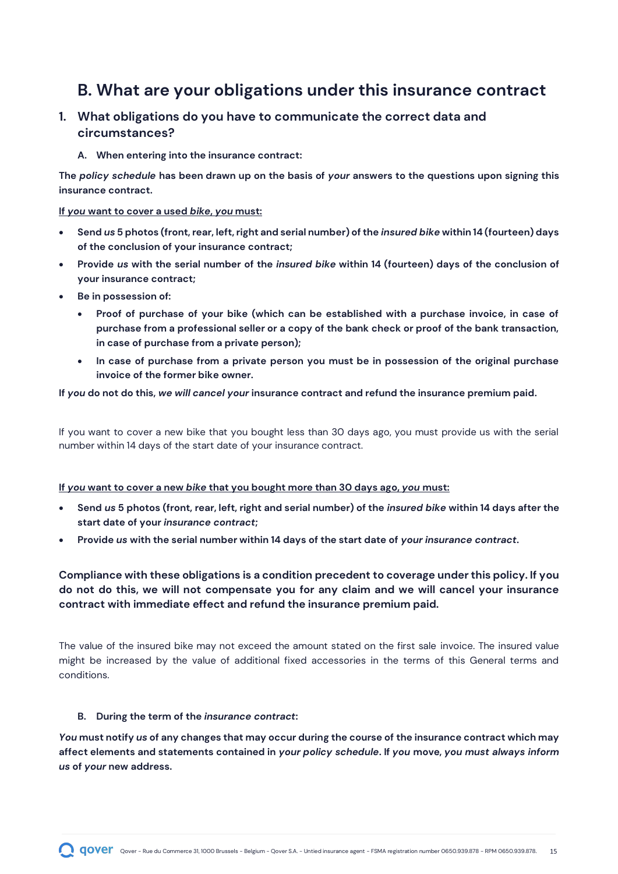# <span id="page-14-0"></span>**B. What are your obligations under this insurance contract**

# **1. What obligations do you have to communicate the correct data and circumstances?**

**A. When entering into the insurance contract:**

**The** *policy schedule* **has been drawn up on the basis of** *your* **answers to the questions upon signing this insurance contract.** 

#### **If** *you* **want to cover a used** *bike***,** *you* **must:**

- **Send** *us* **5 photos (front, rear, left, right and serial number) of the** *insured bike* **within 14 (fourteen) days of the conclusion of your insurance contract;**
- **Provide** *us* **with the serial number of the** *insured bike* **within 14 (fourteen) days of the conclusion of your insurance contract;**
- **Be in possession of:** 
	- **Proof of purchase of your bike (which can be established with a purchase invoice, in case of purchase from a professional seller or a copy of the bank check or proof of the bank transaction, in case of purchase from a private person);**
	- **In case of purchase from a private person you must be in possession of the original purchase invoice of the former bike owner.**

#### **If** *you* **do not do this,** *we will cancel your* **insurance contract and refund the insurance premium paid.**

If you want to cover a new bike that you bought less than 30 days ago, you must provide us with the serial number within 14 days of the start date of your insurance contract.

#### **If** *you* **want to cover a new** *bike* **that you bought more than 30 days ago,** *you* **must:**

- **Send** *us* **5 photos (front, rear, left, right and serial number) of the** *insured bike* **within 14 days after the start date of your** *insurance contract***;**
- **Provide** *us* **with the serial number within 14 days of the start date of** *your insurance contract***.**

### **Compliance with these obligations is a condition precedent to coverage under this policy. If you do not do this, we will not compensate you for any claim and we will cancel your insurance contract with immediate effect and refund the insurance premium paid.**

The value of the insured bike may not exceed the amount stated on the first sale invoice. The insured value might be increased by the value of additional fixed accessories in the terms of this General terms and conditions.

#### **B. During the term of the** *insurance contract***:**

*You* **must notify** *us* **of any changes that may occur during the course of the insurance contract which may affect elements and statements contained in** *your policy schedule***. If** *you* **move,** *you must always inform us* **of** *your* **new address.**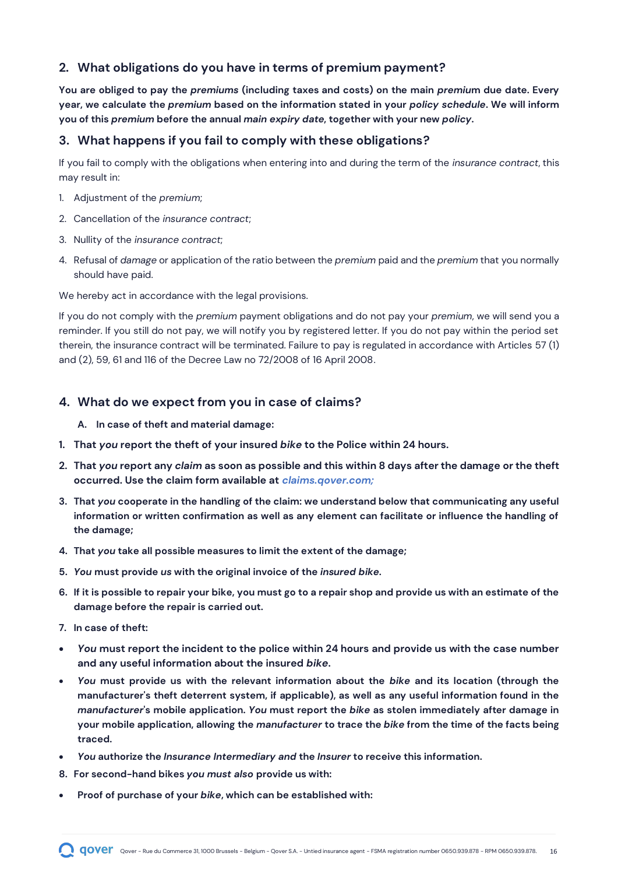# **2. What obligations do you have in terms of premium payment?**

**You are obliged to pay the** *premiums* **(including taxes and costs) on the main** *premiu***m due date. Every year, we calculate the** *premium* **based on the information stated in your** *policy schedule***. We will inform you of this** *premium* **before the annual** *main expiry date***, together with your new** *policy***.**

### **3. What happens if you fail to comply with these obligations?**

If you fail to comply with the obligations when entering into and during the term of the *insurance contract*, this may result in:

- 1. Adjustment of the *premium*;
- 2. Cancellation of the *insurance contract*;
- 3. Nullity of the *insurance contract*;
- 4. Refusal of *damage* or application of the ratio between the *premium* paid and the *premium* that you normally should have paid.

We hereby act in accordance with the legal provisions.

If you do not comply with the *premium* payment obligations and do not pay your *premium*, we will send you a reminder. If you still do not pay, we will notify you by registered letter. If you do not pay within the period set therein, the insurance contract will be terminated. Failure to pay is regulated in accordance with Articles 57 (1) and (2), 59, 61 and 116 of the Decree Law no 72/2008 of 16 April 2008.

#### **4. What do we expect from you in case of claims?**

- **A. In case of theft and material damage:**
- **1. That** *you* **report the theft of your insured** *bike* **to the Police within 24 hours.**
- **2. That** *you* **report any** *claim* **as soon as possible and this within 8 days after the damage or the theft occurred. Use the claim form available at** *claims.qover.com;*
- **3. That** *you* **cooperate in the handling of the claim: we understand below that communicating any useful information or written confirmation as well as any element can facilitate or influence the handling of the damage;**
- **4. That** *you* **take all possible measures to limit the extent of the damage;**
- **5.** *You* **must provide** *us* **with the original invoice of the** *insured bike.*
- **6. If it is possible to repair your bike, you must go to a repair shop and provide us with an estimate of the damage before the repair is carried out.**
- **7. In case of theft:**
- *You* **must report the incident to the police within 24 hours and provide us with the case number and any useful information about the insured** *bike***.**
- *You* **must provide us with the relevant information about the** *bike* **and its location (through the manufacturer's theft deterrent system, if applicable), as well as any useful information found in the**  *manufacturer***'s mobile application.** *You* **must report the** *bike* **as stolen immediately after damage in your mobile application, allowing the** *manufacturer* **to trace the** *bike* **from the time of the facts being traced.**
- *You* **authorize the** *Insurance Intermediary and* **the** *Insurer* **to receive this information.**
- **8. For second-hand bikes** *you must also* **provide us with:**
- **Proof of purchase of your** *bike***, which can be established with:**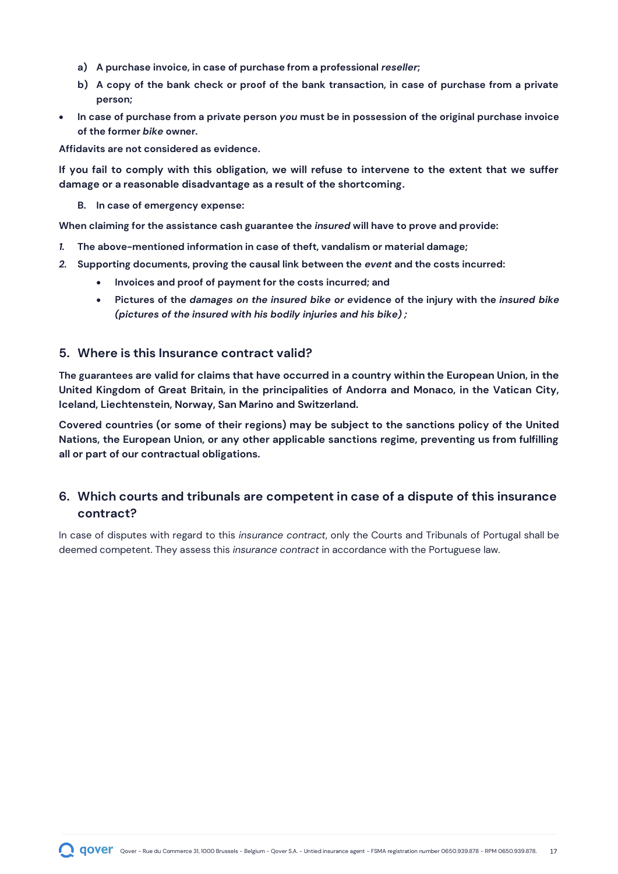- **a) A purchase invoice, in case of purchase from a professional** *reseller***;**
- **b) A copy of the bank check or proof of the bank transaction, in case of purchase from a private person;**
- **In case of purchase from a private person** *you* **must be in possession of the original purchase invoice of the former** *bike* **owner.**

**Affidavits are not considered as evidence.**

**If you fail to comply with this obligation, we will refuse to intervene to the extent that we suffer damage or a reasonable disadvantage as a result of the shortcoming.**

**B. In case of emergency expense:** 

**When claiming for the assistance cash guarantee the** *insured* **will have to prove and provide:**

- *1.* **The above-mentioned information in case of theft, vandalism or material damage;**
- *2.* **Supporting documents, proving the causal link between the** *event* **and the costs incurred:**
	- **Invoices and proof of payment for the costs incurred; and**
	- **Pictures of the** *damages on the insured bike or e***vidence of the injury with the** *insured bike (pictures of the insured with his bodily injuries and his bike) ;*

### **5. Where is this Insurance contract valid?**

**The guarantees are valid for claims that have occurred in a country within the European Union, in the United Kingdom of Great Britain, in the principalities of Andorra and Monaco, in the Vatican City, Iceland, Liechtenstein, Norway, San Marino and Switzerland.**

**Covered countries (or some of their regions) may be subject to the sanctions policy of the United Nations, the European Union, or any other applicable sanctions regime, preventing us from fulfilling all or part of our contractual obligations.** 

# **6. Which courts and tribunals are competent in case of a dispute of this insurance contract?**

In case of disputes with regard to this *insurance contract*, only the Courts and Tribunals of Portugal shall be deemed competent. They assess this *insurance contract* in accordance with the Portuguese law.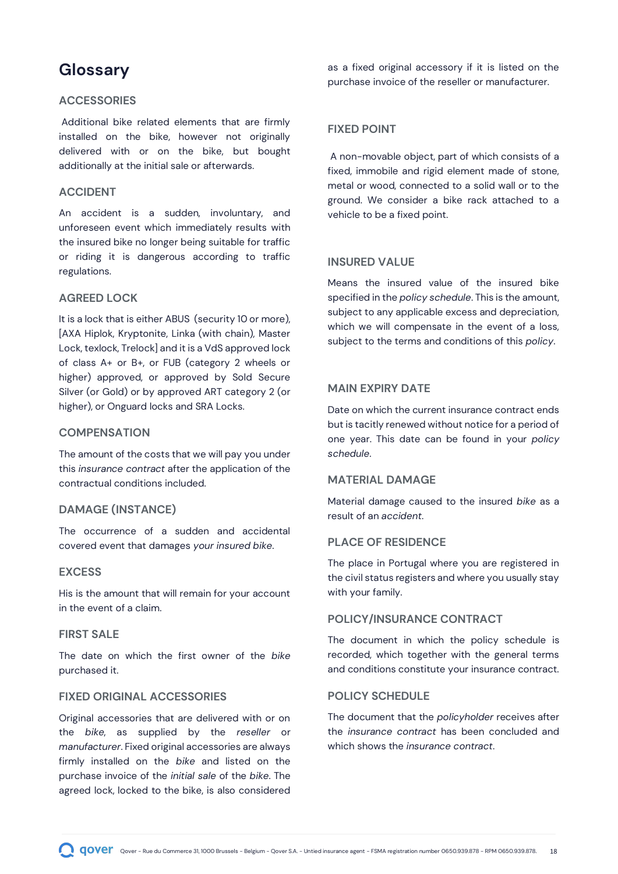# <span id="page-17-0"></span>**Glossary**

#### **ACCESSORIES**

Additional bike related elements that are firmly installed on the bike, however not originally delivered with or on the bike, but bought additionally at the initial sale or afterwards.

#### **ACCIDENT**

An accident is a sudden, involuntary, and unforeseen event which immediately results with the insured bike no longer being suitable for traffic or riding it is dangerous according to traffic regulations.

#### **AGREED LOCK**

It is a lock that is either ABUS (security 10 or more), [AXA Hiplok, Kryptonite, Linka (with chain), Master Lock, texlock, Trelock] and it is a VdS approved lock of class A+ or B+, or FUB (category 2 wheels or higher) approved, or approved by Sold Secure Silver (or Gold) or by approved ART category 2 (or higher), or Onguard locks and SRA Locks.

#### **COMPENSATION**

The amount of the costs that we will pay you under this *insurance contract* after the application of the contractual conditions included.

#### **DAMAGE (INSTANCE)**

The occurrence of a sudden and accidental covered event that damages *your insured bike*.

#### **EXCESS**

His is the amount that will remain for your account in the event of a claim.

#### **FIRST SALE**

The date on which the first owner of the *bike* purchased it.

#### **FIXED ORIGINAL ACCESSORIES**

Original accessories that are delivered with or on the *bike*, as supplied by the *reseller* or *manufacturer*. Fixed original accessories are always firmly installed on the *bike* and listed on the purchase invoice of the *initial sale* of the *bike*. The agreed lock, locked to the bike, is also considered

as a fixed original accessory if it is listed on the purchase invoice of the reseller or manufacturer.

#### **FIXED POINT**

A non-movable object, part of which consists of a fixed, immobile and rigid element made of stone, metal or wood, connected to a solid wall or to the ground. We consider a bike rack attached to a vehicle to be a fixed point.

#### **INSURED VALUE**

Means the insured value of the insured bike specified in the *policy schedule*. This is the amount, subject to any applicable excess and depreciation, which we will compensate in the event of a loss, subject to the terms and conditions of this *policy*.

#### **MAIN EXPIRY DATE**

Date on which the current insurance contract ends but is tacitly renewed without notice for a period of one year. This date can be found in your *policy schedule*.

#### **MATERIAL DAMAGE**

Material damage caused to the insured *bike* as a result of an *accident*.

#### **PLACE OF RESIDENCE**

The place in Portugal where you are registered in the civil status registers and where you usually stay with your family.

#### **POLICY/INSURANCE CONTRACT**

The document in which the policy schedule is recorded, which together with the general terms and conditions constitute your insurance contract.

#### **POLICY SCHEDULE**

The document that the *policyholder* receives after the *insurance contract* has been concluded and which shows the *insurance contract*.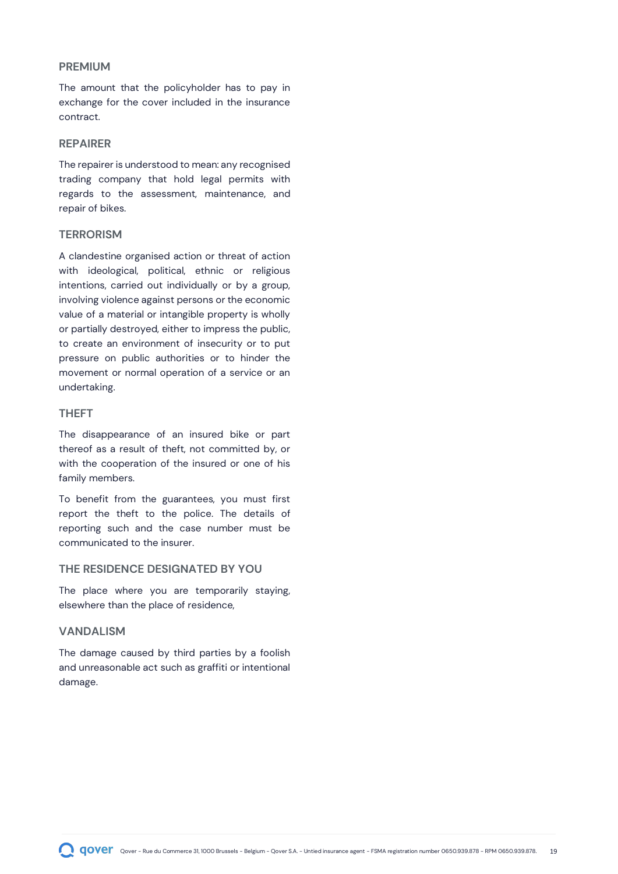#### **PREMIUM**

The amount that the policyholder has to pay in exchange for the cover included in the insurance contract.

#### **REPAIRER**

The repairer is understood to mean: any recognised trading company that hold legal permits with regards to the assessment, maintenance, and repair of bikes.

#### **TERRORISM**

A clandestine organised action or threat of action with ideological, political, ethnic or religious intentions, carried out individually or by a group, involving violence against persons or the economic value of a material or intangible property is wholly or partially destroyed, either to impress the public, to create an environment of insecurity or to put pressure on public authorities or to hinder the movement or normal operation of a service or an undertaking.

#### **THEFT**

The disappearance of an insured bike or part thereof as a result of theft, not committed by, or with the cooperation of the insured or one of his family members.

To benefit from the guarantees, you must first report the theft to the police. The details of reporting such and the case number must be communicated to the insurer.

#### **THE RESIDENCE DESIGNATED BY YOU**

The place where you are temporarily staying, elsewhere than the place of residence,

#### **VANDALISM**

The damage caused by third parties by a foolish and unreasonable act such as graffiti or intentional damage.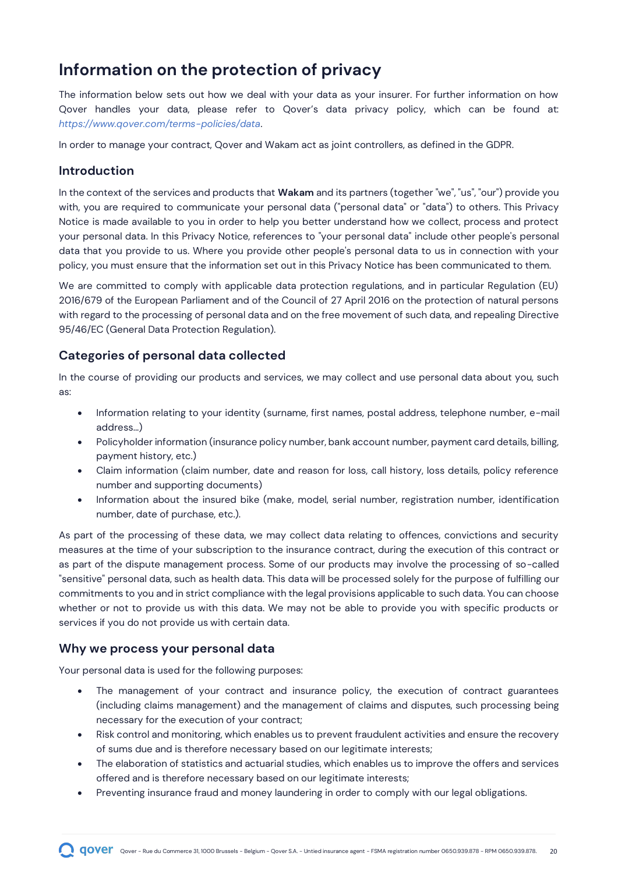# <span id="page-19-0"></span>**Information on the protection of privacy**

The information below sets out how we deal with your data as your insurer. For further information on how Qover handles your data, please refer to Qover's data privacy policy, which can be found at: *<https://www.qover.com/terms-policies/data>*.

In order to manage your contract, Qover and Wakam act as joint controllers, as defined in the GDPR.

### **Introduction**

In the context of the services and products that **Wakam** and its partners (together "we", "us", "our") provide you with, you are required to communicate your personal data ("personal data" or "data") to others. This Privacy Notice is made available to you in order to help you better understand how we collect, process and protect your personal data. In this Privacy Notice, references to "your personal data" include other people's personal data that you provide to us. Where you provide other people's personal data to us in connection with your policy, you must ensure that the information set out in this Privacy Notice has been communicated to them.

We are committed to comply with applicable data protection regulations, and in particular Regulation (EU) 2016/679 of the European Parliament and of the Council of 27 April 2016 on the protection of natural persons with regard to the processing of personal data and on the free movement of such data, and repealing Directive 95/46/EC (General Data Protection Regulation).

# **Categories of personal data collected**

In the course of providing our products and services, we may collect and use personal data about you, such as:

- Information relating to your identity (surname, first names, postal address, telephone number, e-mail address...)
- Policyholder information (insurance policy number, bank account number, payment card details, billing, payment history, etc.)
- Claim information (claim number, date and reason for loss, call history, loss details, policy reference number and supporting documents)
- Information about the insured bike (make, model, serial number, registration number, identification number, date of purchase, etc.).

As part of the processing of these data, we may collect data relating to offences, convictions and security measures at the time of your subscription to the insurance contract, during the execution of this contract or as part of the dispute management process. Some of our products may involve the processing of so-called "sensitive" personal data, such as health data. This data will be processed solely for the purpose of fulfilling our commitments to you and in strict compliance with the legal provisions applicable to such data. You can choose whether or not to provide us with this data. We may not be able to provide you with specific products or services if you do not provide us with certain data.

### **Why we process your personal data**

Your personal data is used for the following purposes:

- The management of your contract and insurance policy, the execution of contract guarantees (including claims management) and the management of claims and disputes, such processing being necessary for the execution of your contract;
- Risk control and monitoring, which enables us to prevent fraudulent activities and ensure the recovery of sums due and is therefore necessary based on our legitimate interests;
- The elaboration of statistics and actuarial studies, which enables us to improve the offers and services offered and is therefore necessary based on our legitimate interests;
- Preventing insurance fraud and money laundering in order to comply with our legal obligations.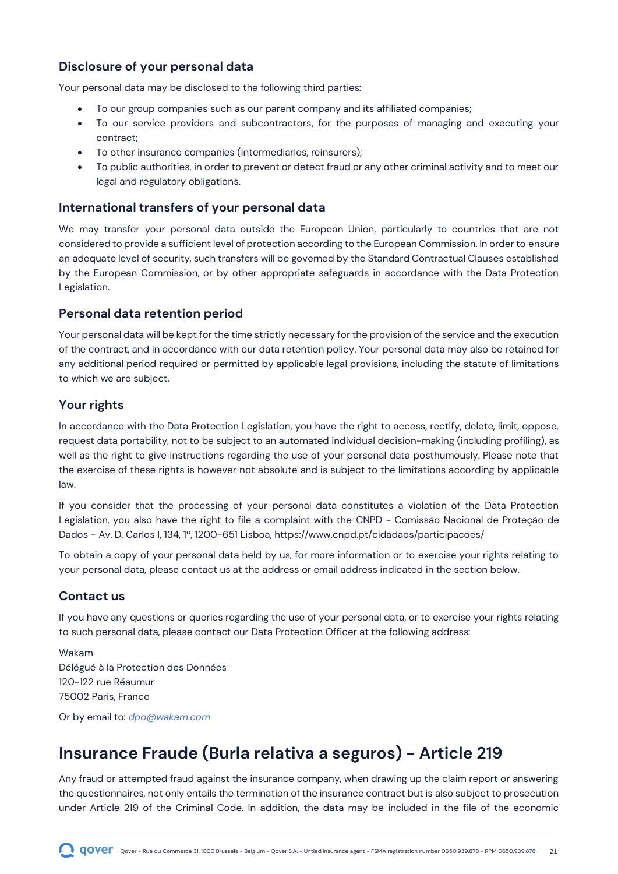# **Disclosure of your personal data**

Your personal data may be disclosed to the following third parties:

- To our group companies such as our parent company and its affiliated companies;
- To our service providers and subcontractors, for the purposes of managing and executing your contract;
- To other insurance companies (intermediaries, reinsurers);
- To public authorities, in order to prevent or detect fraud or any other criminal activity and to meet our legal and regulatory obligations.

### **International transfers of your personal data**

We may transfer your personal data outside the European Union, particularly to countries that are not considered to provide a sufficient level of protection according to the European Commission. In order to ensure an adequate level of security, such transfers will be governed by the Standard Contractual Clauses established by the European Commission, or by other appropriate safeguards in accordance with the Data Protection Legislation.

### **Personal data retention period**

Your personal data will be kept for the time strictly necessary for the provision of the service and the execution of the contract, and in accordance with our data retention policy. Your personal data may also be retained for any additional period required or permitted by applicable legal provisions, including the statute of limitations to which we are subject.

# **Your rights**

In accordance with the Data Protection Legislation, you have the right to access, rectify, delete, limit, oppose, request data portability, not to be subject to an automated individual decision-making (including profiling), as well as the right to give instructions regarding the use of your personal data posthumously. Please note that the exercise of these rights is however not absolute and is subject to the limitations according by applicable law.

If you consider that the processing of your personal data constitutes a violation of the Data Protection Legislation, you also have the right to file a complaint with the CNPD - Comissão Nacional de Proteção de Dados - Av. D. Carlos I, 134, 1º, 1200-651 Lisboa, https://www.cnpd.pt/cidadaos/participacoes/

To obtain a copy of your personal data held by us, for more information or to exercise your rights relating to your personal data, please contact us at the address or email address indicated in the section below.

# **Contact us**

If you have any questions or queries regarding the use of your personal data, or to exercise your rights relating to such personal data, please contact our Data Protection Officer at the following address:

Wakam Délégué à la Protection des Données 120-122 rue Réaumur 75002 Paris, France

Or by email to: *[dpo@wakam.com](mailto:dpo@wakam.com)*

# <span id="page-20-0"></span>**Insurance Fraude (Burla relativa a seguros) - Article 219**

Any fraud or attempted fraud against the insurance company, when drawing up the claim report or answering the questionnaires, not only entails the termination of the insurance contract but is also subject to prosecution under Article 219 of the Criminal Code. In addition, the data may be included in the file of the economic